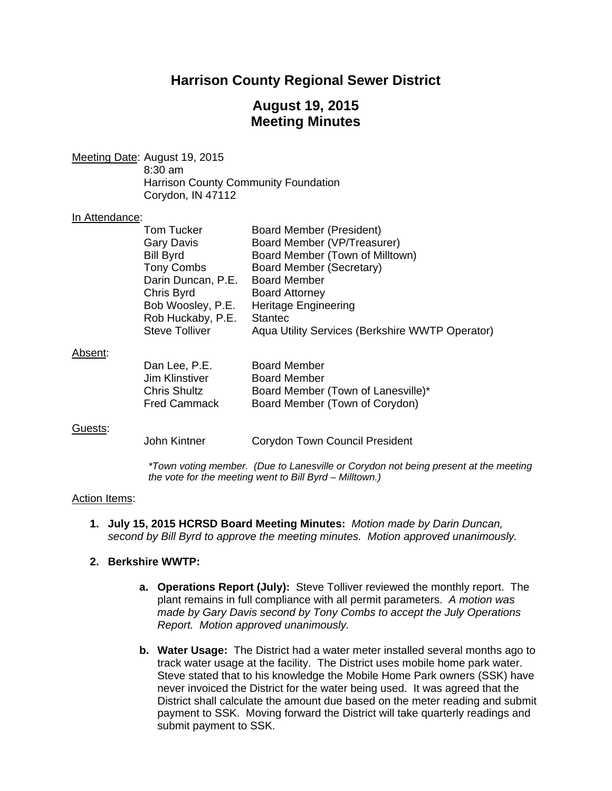# **Harrison County Regional Sewer District**

# **August 19, 2015 Meeting Minutes**

Meeting Date: August 19, 2015 8:30 am Harrison County Community Foundation Corydon, IN 47112

#### In Attendance:

|         | Tom Tucker            | Board Member (President)                        |
|---------|-----------------------|-------------------------------------------------|
|         | <b>Gary Davis</b>     | Board Member (VP/Treasurer)                     |
|         | <b>Bill Byrd</b>      | Board Member (Town of Milltown)                 |
|         | <b>Tony Combs</b>     | Board Member (Secretary)                        |
|         | Darin Duncan, P.E.    | <b>Board Member</b>                             |
|         | Chris Byrd            | <b>Board Attorney</b>                           |
|         | Bob Woosley, P.E.     | <b>Heritage Engineering</b>                     |
|         | Rob Huckaby, P.E.     | <b>Stantec</b>                                  |
|         | <b>Steve Tolliver</b> | Aqua Utility Services (Berkshire WWTP Operator) |
| Absent: |                       |                                                 |
|         | Dan Lee, P.E.         | <b>Board Member</b>                             |
|         | .lim Klinstiver       | <b>Board Member</b>                             |

| Dall Lee, P.C.      | DUAIU MEINDEI                      |
|---------------------|------------------------------------|
| Jim Klinstiver      | <b>Board Member</b>                |
| <b>Chris Shultz</b> | Board Member (Town of Lanesville)* |
| <b>Fred Cammack</b> | Board Member (Town of Corydon)     |
|                     |                                    |

#### Guests:

John Kintner Corydon Town Council President

*\*Town voting member. (Due to Lanesville or Corydon not being present at the meeting the vote for the meeting went to Bill Byrd – Milltown.)* 

#### Action Items:

**1. July 15, 2015 HCRSD Board Meeting Minutes:** *Motion made by Darin Duncan, second by Bill Byrd to approve the meeting minutes. Motion approved unanimously.*

#### **2. Berkshire WWTP:**

- **a. Operations Report (July):** Steve Tolliver reviewed the monthly report. The plant remains in full compliance with all permit parameters. *A motion was made by Gary Davis second by Tony Combs to accept the July Operations Report. Motion approved unanimously.*
- **b. Water Usage:** The District had a water meter installed several months ago to track water usage at the facility. The District uses mobile home park water. Steve stated that to his knowledge the Mobile Home Park owners (SSK) have never invoiced the District for the water being used. It was agreed that the District shall calculate the amount due based on the meter reading and submit payment to SSK. Moving forward the District will take quarterly readings and submit payment to SSK.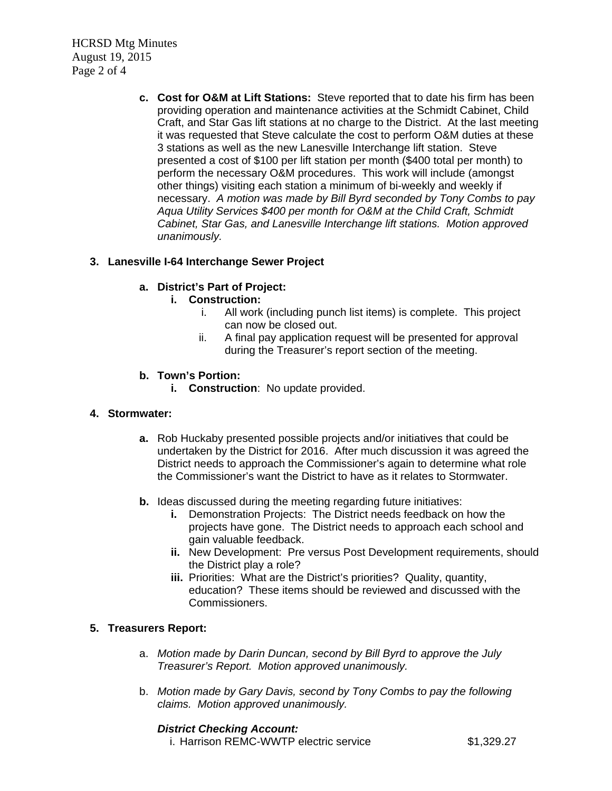HCRSD Mtg Minutes August 19, 2015 Page 2 of 4

> **c. Cost for O&M at Lift Stations:** Steve reported that to date his firm has been providing operation and maintenance activities at the Schmidt Cabinet, Child Craft, and Star Gas lift stations at no charge to the District. At the last meeting it was requested that Steve calculate the cost to perform O&M duties at these 3 stations as well as the new Lanesville Interchange lift station. Steve presented a cost of \$100 per lift station per month (\$400 total per month) to perform the necessary O&M procedures. This work will include (amongst other things) visiting each station a minimum of bi-weekly and weekly if necessary. *A motion was made by Bill Byrd seconded by Tony Combs to pay Aqua Utility Services \$400 per month for O&M at the Child Craft, Schmidt Cabinet, Star Gas, and Lanesville Interchange lift stations. Motion approved unanimously.*

# **3. Lanesville I-64 Interchange Sewer Project**

# **a. District's Part of Project:**

### **i. Construction:**

- i. All work (including punch list items) is complete. This project can now be closed out.
- ii. A final pay application request will be presented for approval during the Treasurer's report section of the meeting.

### **b. Town's Portion:**

**i. Construction**: No update provided.

#### **4. Stormwater:**

- **a.** Rob Huckaby presented possible projects and/or initiatives that could be undertaken by the District for 2016. After much discussion it was agreed the District needs to approach the Commissioner's again to determine what role the Commissioner's want the District to have as it relates to Stormwater.
- **b.** Ideas discussed during the meeting regarding future initiatives:
	- **i.** Demonstration Projects: The District needs feedback on how the projects have gone. The District needs to approach each school and gain valuable feedback.
	- **ii.** New Development: Pre versus Post Development requirements, should the District play a role?
	- **iii.** Priorities: What are the District's priorities? Quality, quantity, education? These items should be reviewed and discussed with the Commissioners.

# **5. Treasurers Report:**

- a. *Motion made by Darin Duncan, second by Bill Byrd to approve the July Treasurer's Report. Motion approved unanimously.*
- b. *Motion made by Gary Davis, second by Tony Combs to pay the following claims. Motion approved unanimously.*

#### *District Checking Account:*

i. Harrison REMC-WWTP electric service  $$1,329.27$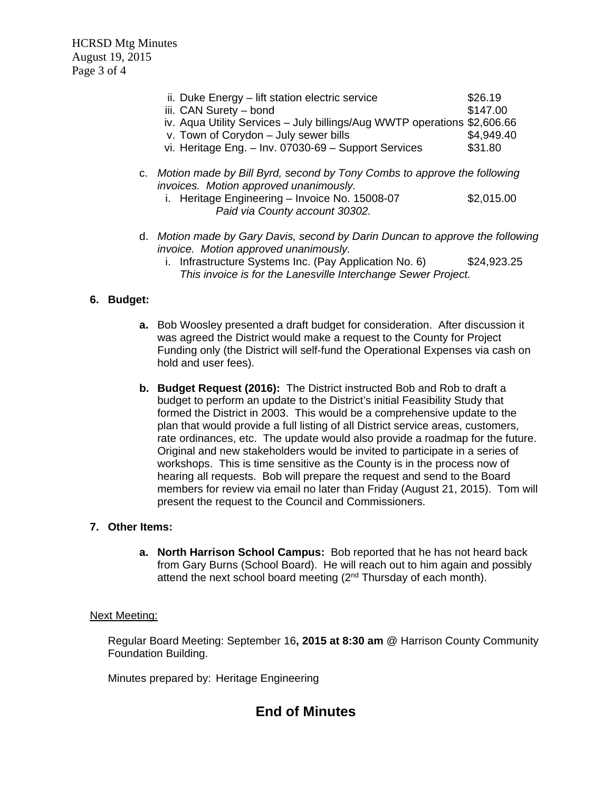HCRSD Mtg Minutes August 19, 2015 Page 3 of 4

| ii. Duke Energy - lift station electric service                          | \$26.19    |
|--------------------------------------------------------------------------|------------|
| iii. CAN Surety - bond                                                   | \$147.00   |
| iv. Aqua Utility Services - July billings/Aug WWTP operations \$2,606.66 |            |
| v. Town of Corydon - July sewer bills                                    | \$4,949.40 |
| vi. Heritage Eng. - Inv. 07030-69 - Support Services                     | \$31.80    |

- c. *Motion made by Bill Byrd, second by Tony Combs to approve the following invoices. Motion approved unanimously.* 
	- i. Heritage Engineering Invoice No.  $15008-07$  \$2,015.00  *Paid via County account 30302.*
- d. *Motion made by Gary Davis, second by Darin Duncan to approve the following invoice. Motion approved unanimously.* 
	- i. Infrastructure Systems Inc. (Pay Application No. 6) \$24,923.25 *This invoice is for the Lanesville Interchange Sewer Project.*

# **6. Budget:**

- **a.** Bob Woosley presented a draft budget for consideration. After discussion it was agreed the District would make a request to the County for Project Funding only (the District will self-fund the Operational Expenses via cash on hold and user fees).
- **b. Budget Request (2016):** The District instructed Bob and Rob to draft a budget to perform an update to the District's initial Feasibility Study that formed the District in 2003. This would be a comprehensive update to the plan that would provide a full listing of all District service areas, customers, rate ordinances, etc. The update would also provide a roadmap for the future. Original and new stakeholders would be invited to participate in a series of workshops. This is time sensitive as the County is in the process now of hearing all requests. Bob will prepare the request and send to the Board members for review via email no later than Friday (August 21, 2015). Tom will present the request to the Council and Commissioners.

# **7. Other Items:**

**a. North Harrison School Campus:** Bob reported that he has not heard back from Gary Burns (School Board). He will reach out to him again and possibly attend the next school board meeting (2<sup>nd</sup> Thursday of each month).

# Next Meeting:

Regular Board Meeting: September 16**, 2015 at 8:30 am** @ Harrison County Community Foundation Building.

Minutes prepared by: Heritage Engineering

# **End of Minutes**